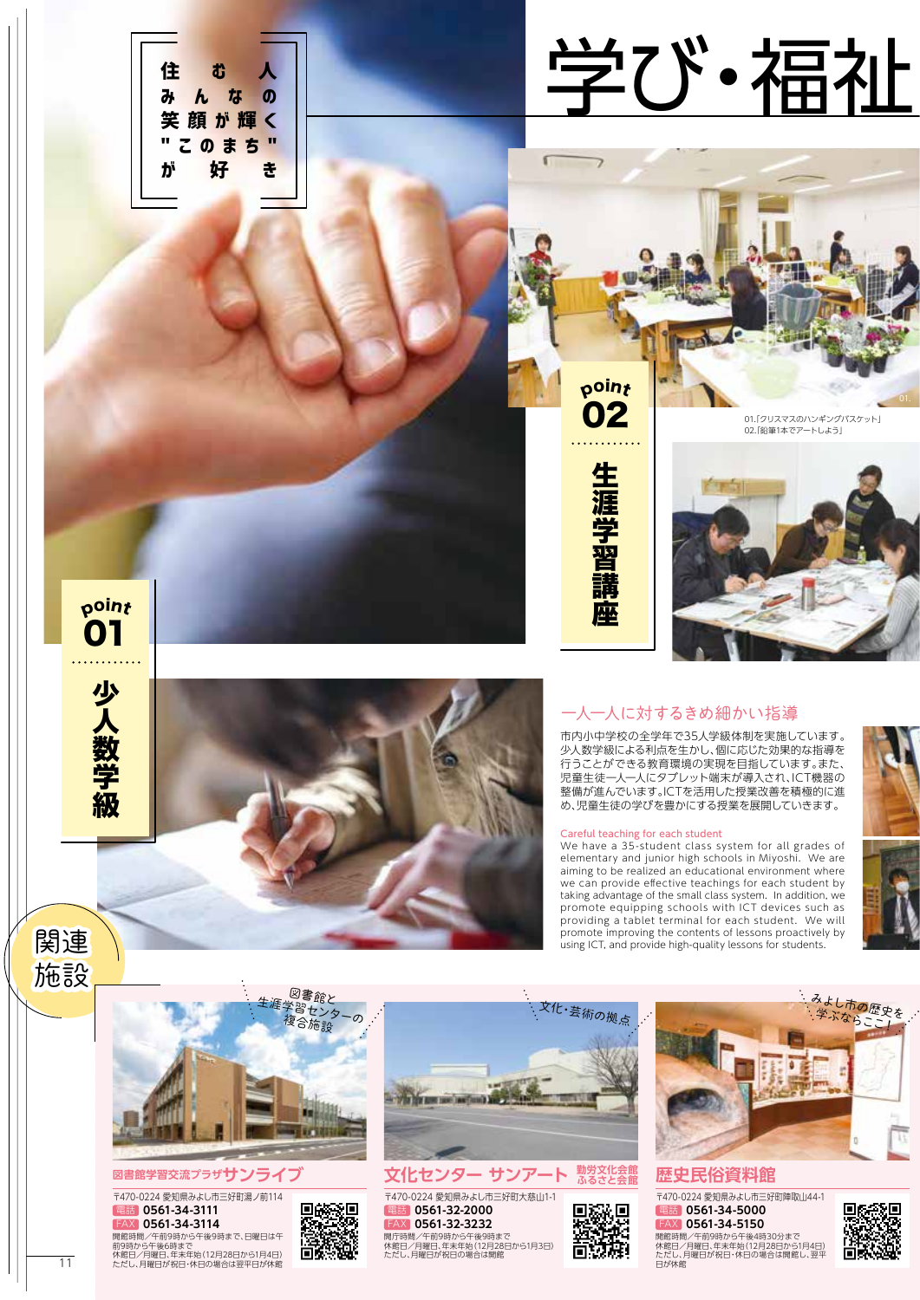



## **図書館学習交流プラザサンライブ**

〒470-0224 愛知県みよし市三好町湯ノ前114 電話 **0561-34-3111** FAX **0561-34-3114**

開館時間/午前9時から午後9時まで、日曜日は午 前9時から午後6時まで 休館日/月曜日、年末年始(12月28日から1月4日) ただし、月曜日が祝日・休日の場合は翌平日が休館 11 ただし、月曜日が祝日・休日の場合は翌平日が休館 またまたまま しょうしょう しょうしょうしゃ しょうしょうしゃ しゅうしゅうしゅ 日が休館 しゅうしゅうしゅ ただし、月曜日が祝日・休日の場合は翌平日が休館 しょうし





**文化センター サンアート 勤労文化会館** 〒470-0224 愛知県みよし市三好町大慈山1-1 開庁時間/午前9時から午後9時まで<br>休館日/月曜日、年末年始(12月28日から1月3日)<br>ただし、月曜日が祝日の場合は開館 電話 **0561-32-2000** FAX **0561-32-3232**



**歴史民俗資料館** |<br>|<br>|T470-0224 愛知県みよし市三好町陣取山44-1 開館時間/午前9時から午後4時30分まで<br>休館日/月曜日、年末年始(12月28日から1月4日)<br>ただし、月曜日が祝日・休日の場合は開館し、翌平<br>日が休館 電話 **0561-34-5000** FAX **0561-34-5150**